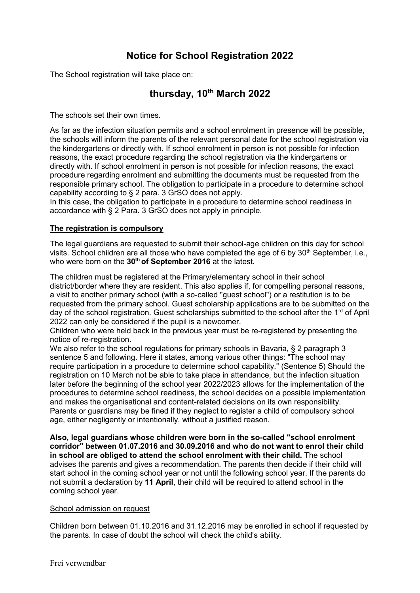# **Notice for School Registration 2022**

The School registration will take place on:

# **thursday, 10th March 2022**

The schools set their own times.

As far as the infection situation permits and a school enrolment in presence will be possible, the schools will inform the parents of the relevant personal date for the school registration via the kindergartens or directly with. If school enrolment in person is not possible for infection reasons, the exact procedure regarding the school registration via the kindergartens or directly with. If school enrolment in person is not possible for infection reasons, the exact procedure regarding enrolment and submitting the documents must be requested from the responsible primary school. The obligation to participate in a procedure to determine school capability according to § 2 para. 3 GrSO does not apply.

In this case, the obligation to participate in a procedure to determine school readiness in accordance with § 2 Para. 3 GrSO does not apply in principle.

## **The registration is compulsory**

The legal guardians are requested to submit their school-age children on this day for school visits. School children are all those who have completed the age of 6 by 30<sup>th</sup> September, i.e., who were born on the **30th of September 2016** at the latest.

The children must be registered at the Primary/elementary school in their school district/border where they are resident. This also applies if, for compelling personal reasons, a visit to another primary school (with a so-called "guest school") or a restitution is to be requested from the primary school. Guest scholarship applications are to be submitted on the day of the school registration. Guest scholarships submitted to the school after the 1<sup>rd</sup> of April 2022 can only be considered if the pupil is a newcomer.

Children who were held back in the previous year must be re-registered by presenting the notice of re-registration.

We also refer to the school regulations for primary schools in Bavaria, § 2 paragraph 3 sentence 5 and following. Here it states, among various other things: "The school may require participation in a procedure to determine school capability." (Sentence 5) Should the registration on 10 March not be able to take place in attendance, but the infection situation later before the beginning of the school year 2022/2023 allows for the implementation of the procedures to determine school readiness, the school decides on a possible implementation and makes the organisational and content-related decisions on its own responsibility. Parents or guardians may be fined if they neglect to register a child of compulsory school age, either negligently or intentionally, without a justified reason.

**Also, legal guardians whose children were born in the so-called "school enrolment corridor" between 01.07.2016 and 30.09.2016 and who do not want to enrol their child in school are obliged to attend the school enrolment with their child.** The school advises the parents and gives a recommendation. The parents then decide if their child will start school in the coming school year or not until the following school year. If the parents do not submit a declaration by **11 April**, their child will be required to attend school in the coming school year.

#### School admission on request

Children born between 01.10.2016 and 31.12.2016 may be enrolled in school if requested by the parents. In case of doubt the school will check the child's ability.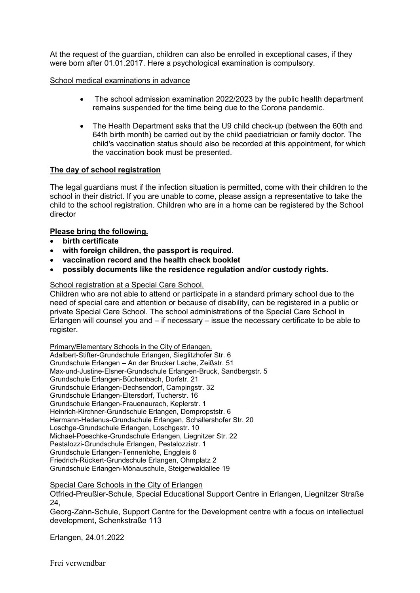At the request of the guardian, children can also be enrolled in exceptional cases, if they were born after 01.01.2017. Here a psychological examination is compulsory.

#### School medical examinations in advance

- The school admission examination 2022/2023 by the public health department remains suspended for the time being due to the Corona pandemic.
- The Health Department asks that the U9 child check-up (between the 60th and 64th birth month) be carried out by the child paediatrician or family doctor. The child's vaccination status should also be recorded at this appointment, for which the vaccination book must be presented.

#### **The day of school registration**

The legal guardians must if the infection situation is permitted, come with their children to the school in their district. If you are unable to come, please assign a representative to take the child to the school registration. Children who are in a home can be registered by the School director

#### **Please bring the following.**

- **birth certificate**
- **with foreign children, the passport is required.**
- **vaccination record and the health check booklet**
- **possibly documents like the residence regulation and/or custody rights.**

#### School registration at a Special Care School.

Children who are not able to attend or participate in a standard primary school due to the need of special care and attention or because of disability, can be registered in a public or private Special Care School. The school administrations of the Special Care School in Erlangen will counsel you and – if necessary – issue the necessary certificate to be able to register.

Primary/Elementary Schools in the City of Erlangen. Adalbert-Stifter-Grundschule Erlangen, Sieglitzhofer Str. 6 Grundschule Erlangen – An der Brucker Lache, Zeißstr. 51 Max-und-Justine-Elsner-Grundschule Erlangen-Bruck, Sandbergstr. 5 Grundschule Erlangen-Büchenbach, Dorfstr. 21 Grundschule Erlangen-Dechsendorf, Campingstr. 32 Grundschule Erlangen-Eltersdorf, Tucherstr. 16 Grundschule Erlangen-Frauenaurach, Keplerstr. 1 Heinrich-Kirchner-Grundschule Erlangen, Dompropststr. 6 Hermann-Hedenus-Grundschule Erlangen, Schallershofer Str. 20 Loschge-Grundschule Erlangen, Loschgestr. 10 Michael-Poeschke-Grundschule Erlangen, Liegnitzer Str. 22 Pestalozzi-Grundschule Erlangen, Pestalozzistr. 1 Grundschule Erlangen-Tennenlohe, Enggleis 6 Friedrich-Rückert-Grundschule Erlangen, Ohmplatz 2 Grundschule Erlangen-Mönauschule, Steigerwaldallee 19

#### Special Care Schools in the City of Erlangen

Otfried-Preußler-Schule, Special Educational Support Centre in Erlangen, Liegnitzer Straße 24,

Georg-Zahn-Schule, Support Centre for the Development centre with a focus on intellectual development, Schenkstraße 113

Erlangen, 24.01.2022